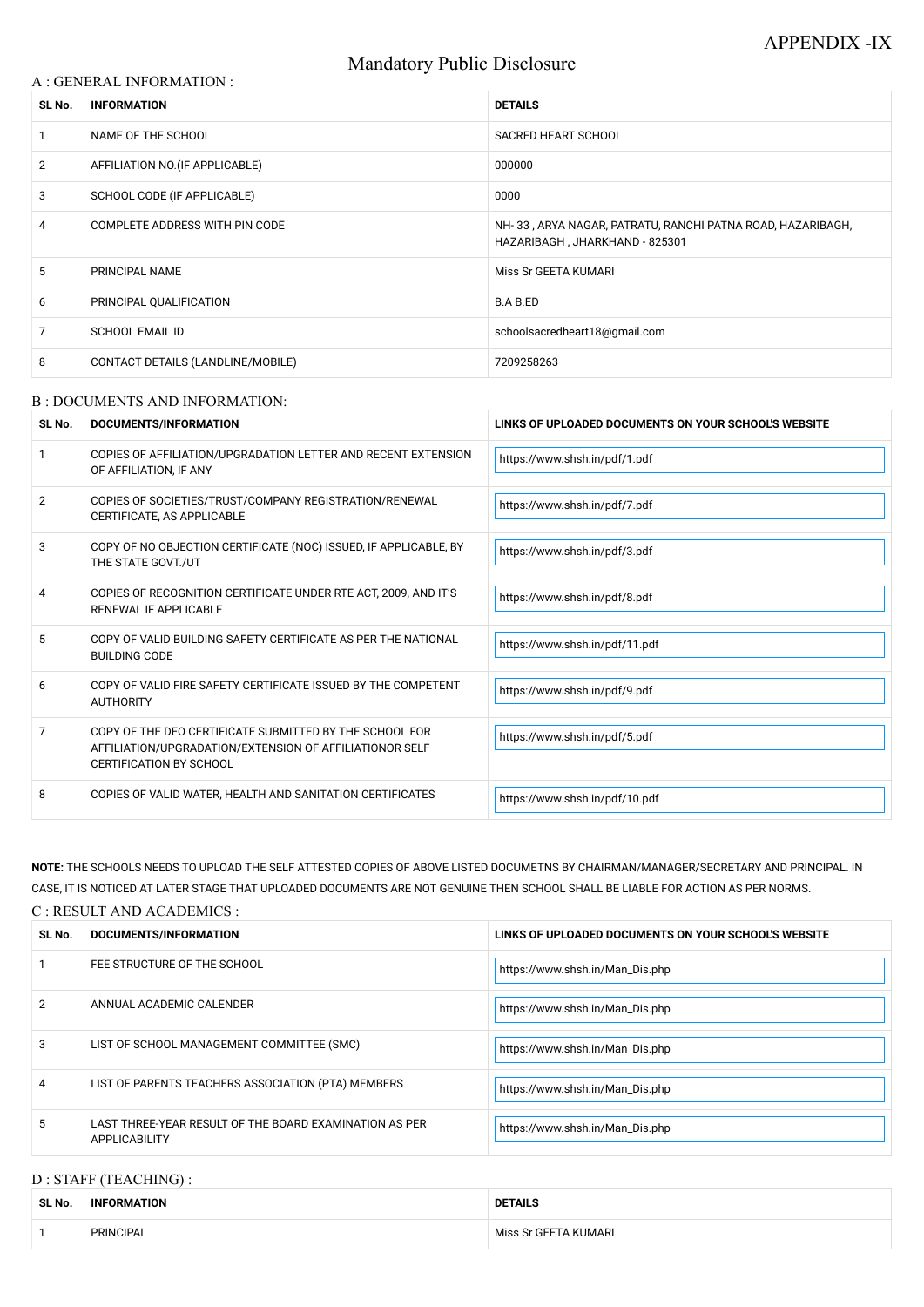# Mandatory Public Disclosure

### A : GENERAL INFORMATION :

| SL No.         | <b>INFORMATION</b>                | <b>DETAILS</b>                                                                               |  |
|----------------|-----------------------------------|----------------------------------------------------------------------------------------------|--|
|                | NAME OF THE SCHOOL                | <b>SACRED HEART SCHOOL</b>                                                                   |  |
| $\overline{2}$ | AFFILIATION NO. (IF APPLICABLE)   | 000000                                                                                       |  |
| 3              | SCHOOL CODE (IF APPLICABLE)       | 0000                                                                                         |  |
| 4              | COMPLETE ADDRESS WITH PIN CODE    | NH-33, ARYA NAGAR, PATRATU, RANCHI PATNA ROAD, HAZARIBAGH,<br>HAZARIBAGH, JHARKHAND - 825301 |  |
| 5              | <b>PRINCIPAL NAME</b>             | Miss Sr GEETA KUMARI                                                                         |  |
| 6              | PRINCIPAL QUALIFICATION           | B.A B.ED                                                                                     |  |
| 7              | <b>SCHOOL EMAIL ID</b>            | schoolsacredheart18@gmail.com                                                                |  |
| 8              | CONTACT DETAILS (LANDLINE/MOBILE) | 7209258263                                                                                   |  |

#### B : DOCUMENTS AND INFORMATION:

| SL No. | <b>DOCUMENTS/INFORMATION</b>                                                                                                                         | LINKS OF UPLOADED DOCUMENTS ON YOUR SCHOOL'S WEBSITE |  |
|--------|------------------------------------------------------------------------------------------------------------------------------------------------------|------------------------------------------------------|--|
|        | COPIES OF AFFILIATION/UPGRADATION LETTER AND RECENT EXTENSION<br>OF AFFILIATION, IF ANY                                                              | https://www.shsh.in/pdf/1.pdf                        |  |
| 2      | COPIES OF SOCIETIES/TRUST/COMPANY REGISTRATION/RENEWAL<br>CERTIFICATE, AS APPLICABLE                                                                 | https://www.shsh.in/pdf/7.pdf                        |  |
| 3      | COPY OF NO OBJECTION CERTIFICATE (NOC) ISSUED, IF APPLICABLE, BY<br>THE STATE GOVT./UT                                                               | https://www.shsh.in/pdf/3.pdf                        |  |
| 4      | COPIES OF RECOGNITION CERTIFICATE UNDER RTE ACT, 2009, AND IT'S<br>RENEWAL IF APPLICABLE                                                             | https://www.shsh.in/pdf/8.pdf                        |  |
| 5      | COPY OF VALID BUILDING SAFETY CERTIFICATE AS PER THE NATIONAL<br><b>BUILDING CODE</b>                                                                | https://www.shsh.in/pdf/11.pdf                       |  |
| 6      | COPY OF VALID FIRE SAFETY CERTIFICATE ISSUED BY THE COMPETENT<br><b>AUTHORITY</b>                                                                    | https://www.shsh.in/pdf/9.pdf                        |  |
| 7      | COPY OF THE DEO CERTIFICATE SUBMITTED BY THE SCHOOL FOR<br>AFFILIATION/UPGRADATION/EXTENSION OF AFFILIATIONOR SELF<br><b>CERTIFICATION BY SCHOOL</b> | https://www.shsh.in/pdf/5.pdf                        |  |
| 8      | COPIES OF VALID WATER, HEALTH AND SANITATION CERTIFICATES                                                                                            | https://www.shsh.in/pdf/10.pdf                       |  |

| $\overline{2}$ | ANNUAL ACADEMIC CALENDER                                                | https://www.shsh.in/Man_Dis.php |
|----------------|-------------------------------------------------------------------------|---------------------------------|
| 3              | LIST OF SCHOOL MANAGEMENT COMMITTEE (SMC)                               | https://www.shsh.in/Man_Dis.php |
| 4              | LIST OF PARENTS TEACHERS ASSOCIATION (PTA) MEMBERS                      | https://www.shsh.in/Man_Dis.php |
| 5              | LAST THREE-YEAR RESULT OF THE BOARD EXAMINATION AS PER<br>APPLICABILITY | https://www.shsh.in/Man_Dis.php |

# D : STAFF (TEACHING) :

**NOTE:** THE SCHOOLS NEEDS TO UPLOAD THE SELF ATTESTED COPIES OF ABOVE LISTED DOCUMETNS BY CHAIRMAN/MANAGER/SECRETARY AND PRINCIPAL. IN CASE, IT IS NOTICED AT LATER STAGE THAT UPLOADED DOCUMENTS ARE NOT GENUINE THEN SCHOOL SHALL BE LIABLE FOR ACTION AS PER NORMS.

| C : RESULT AND ACADEMICS : |  |
|----------------------------|--|
|                            |  |

| SL No. | DOCUMENTS/INFORMATION       | LINKS OF UPLOADED DOCUMENTS ON YOUR SCHOOL'S WEBSITE |  |
|--------|-----------------------------|------------------------------------------------------|--|
|        | FEE STRUCTURE OF THE SCHOOL | https://www.shsh.in/Man_Dis.php                      |  |

| SL No. | <b>INFORMATION</b> | <b>DETAILS</b>       |
|--------|--------------------|----------------------|
|        | PRINCIPAL          | Miss Sr GEETA KUMARI |